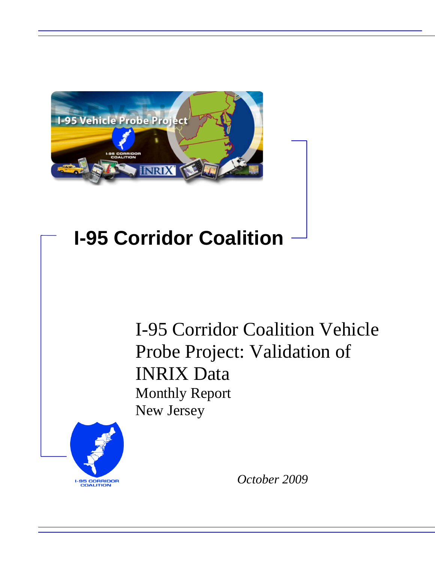

## **I-95 Corridor Coalition**

I-95 Corridor Coalition Vehicle Probe Project: Validation of INRIX Data Monthly Report New Jersey



*October 2009*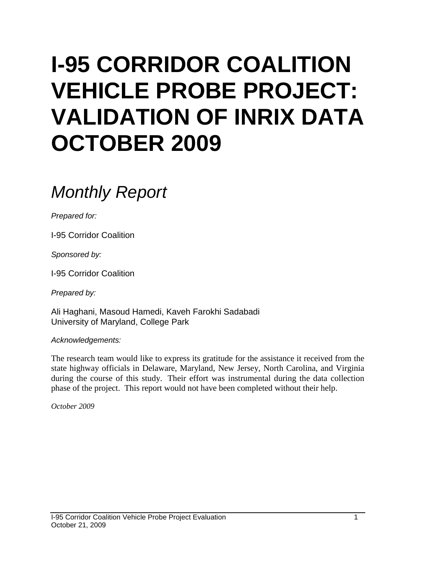# **I-95 CORRIDOR COALITION VEHICLE PROBE PROJECT: VALIDATION OF INRIX DATA OCTOBER 2009**

## *Monthly Report*

*Prepared for:*

I-95 Corridor Coalition

*Sponsored by:*

I-95 Corridor Coalition

*Prepared by:*

Ali Haghani, Masoud Hamedi, Kaveh Farokhi Sadabadi University of Maryland, College Park

*Acknowledgements:*

The research team would like to express its gratitude for the assistance it received from the state highway officials in Delaware, Maryland, New Jersey, North Carolina, and Virginia during the course of this study. Their effort was instrumental during the data collection phase of the project. This report would not have been completed without their help.

*October 2009*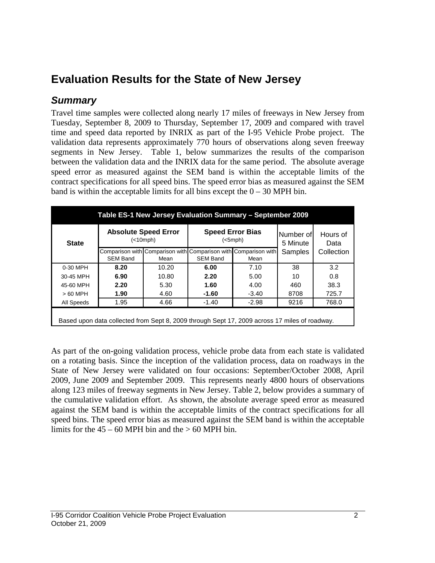## **Evaluation Results for the State of New Jersey**

#### *Summary*

Travel time samples were collected along nearly 17 miles of freeways in New Jersey from Tuesday, September 8, 2009 to Thursday, September 17, 2009 and compared with travel time and speed data reported by INRIX as part of the I-95 Vehicle Probe project. The validation data represents approximately 770 hours of observations along seven freeway segments in New Jersey. Table 1, below summarizes the results of the comparison between the validation data and the INRIX data for the same period. The absolute average speed error as measured against the SEM band is within the acceptable limits of the contract specifications for all speed bins. The speed error bias as measured against the SEM band is within the acceptable limits for all bins except the  $0 - 30$  MPH bin.

| <b>State</b> |                 | <b>Absolute Speed Error</b><br>(<10 mph) |                                                                                    | <b>Speed Error Bias</b><br>(<5 mph) | Number of<br>5 Minute | Hours of<br>Data |
|--------------|-----------------|------------------------------------------|------------------------------------------------------------------------------------|-------------------------------------|-----------------------|------------------|
|              | <b>SEM Band</b> | Mean                                     | Comparison with Comparison with Comparison with Comparison with<br><b>SEM Band</b> | Mean                                | Samples               | Collection       |
| 0-30 MPH     | 8.20            | 10.20                                    | 6.00                                                                               | 7.10                                | 38                    | 3.2              |
| 30-45 MPH    | 6.90            | 10.80                                    | 2.20                                                                               | 5.00                                | 10                    | 0.8              |
| 45-60 MPH    | 2.20            | 5.30                                     | 1.60                                                                               | 4.00                                | 460                   | 38.3             |
| $>60$ MPH    | 1.90            | 4.60                                     | $-1.60$                                                                            | $-3.40$                             | 8708                  | 725.7            |
| All Speeds   | 1.95            | 4.66                                     | $-1.40$                                                                            | $-2.98$                             | 9216                  | 768.0            |

As part of the on-going validation process, vehicle probe data from each state is validated on a rotating basis. Since the inception of the validation process, data on roadways in the State of New Jersey were validated on four occasions: September/October 2008, April 2009, June 2009 and September 2009. This represents nearly 4800 hours of observations along 123 miles of freeway segments in New Jersey. Table 2, below provides a summary of the cumulative validation effort. As shown, the absolute average speed error as measured against the SEM band is within the acceptable limits of the contract specifications for all speed bins. The speed error bias as measured against the SEM band is within the acceptable limits for the  $45 - 60$  MPH bin and the  $> 60$  MPH bin.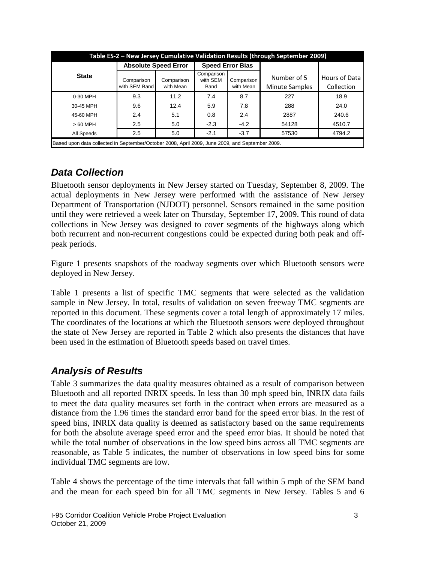| Table ES-2 - New Jersey Cumulative Validation Results (through September 2009) |                                                                                                 |                         |                                |                         |                               |                             |  |  |  |  |
|--------------------------------------------------------------------------------|-------------------------------------------------------------------------------------------------|-------------------------|--------------------------------|-------------------------|-------------------------------|-----------------------------|--|--|--|--|
|                                                                                | <b>Absolute Speed Error</b>                                                                     |                         |                                | <b>Speed Error Bias</b> |                               |                             |  |  |  |  |
| <b>State</b>                                                                   | Comparison<br>with SEM Band                                                                     | Comparison<br>with Mean | Comparison<br>with SEM<br>Band | Comparison<br>with Mean | Number of 5<br>Minute Samples | Hours of Data<br>Collection |  |  |  |  |
| 0-30 MPH                                                                       | 9.3                                                                                             | 11.2                    | 7.4                            | 8.7                     | 227                           | 18.9                        |  |  |  |  |
| 30-45 MPH                                                                      | 9.6                                                                                             | 12.4                    | 5.9                            | 7.8                     | 288                           | 24.0                        |  |  |  |  |
| 45-60 MPH                                                                      | 2.4                                                                                             | 5.1                     | 0.8                            | 2.4                     | 2887                          | 240.6                       |  |  |  |  |
| $>60$ MPH                                                                      | 2.5                                                                                             | 5.0                     | $-2.3$                         | $-4.2$                  | 54128                         | 4510.7                      |  |  |  |  |
| All Speeds                                                                     | 2.5                                                                                             | 5.0                     | $-2.1$                         | $-3.7$                  | 57530                         | 4794.2                      |  |  |  |  |
|                                                                                | Based upon data collected in September/October 2008. April 2009. June 2009. and September 2009. |                         |                                |                         |                               |                             |  |  |  |  |

### *Data Collection*

Bluetooth sensor deployments in New Jersey started on Tuesday, September 8, 2009. The actual deployments in New Jersey were performed with the assistance of New Jersey Department of Transportation (NJDOT) personnel. Sensors remained in the same position until they were retrieved a week later on Thursday, September 17, 2009. This round of data collections in New Jersey was designed to cover segments of the highways along which both recurrent and non-recurrent congestions could be expected during both peak and offpeak periods.

Figure 1 presents snapshots of the roadway segments over which Bluetooth sensors were deployed in New Jersey.

Table 1 presents a list of specific TMC segments that were selected as the validation sample in New Jersey. In total, results of validation on seven freeway TMC segments are reported in this document. These segments cover a total length of approximately 17 miles. The coordinates of the locations at which the Bluetooth sensors were deployed throughout the state of New Jersey are reported in Table 2 which also presents the distances that have been used in the estimation of Bluetooth speeds based on travel times.

### *Analysis of Results*

Table 3 summarizes the data quality measures obtained as a result of comparison between Bluetooth and all reported INRIX speeds. In less than 30 mph speed bin, INRIX data fails to meet the data quality measures set forth in the contract when errors are measured as a distance from the 1.96 times the standard error band for the speed error bias. In the rest of speed bins, INRIX data quality is deemed as satisfactory based on the same requirements for both the absolute average speed error and the speed error bias. It should be noted that while the total number of observations in the low speed bins across all TMC segments are reasonable, as Table 5 indicates, the number of observations in low speed bins for some individual TMC segments are low.

Table 4 shows the percentage of the time intervals that fall within 5 mph of the SEM band and the mean for each speed bin for all TMC segments in New Jersey. Tables 5 and 6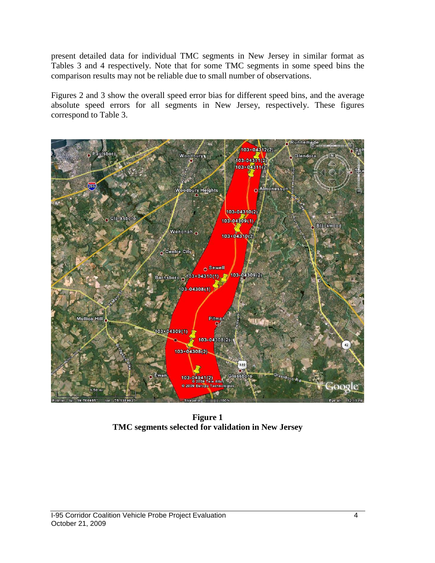present detailed data for individual TMC segments in New Jersey in similar format as Tables 3 and 4 respectively. Note that for some TMC segments in some speed bins the comparison results may not be reliable due to small number of observations.

Figures 2 and 3 show the overall speed error bias for different speed bins, and the average absolute speed errors for all segments in New Jersey, respectively. These figures correspond to Table 3.



**Figure 1 TMC segments selected for validation in New Jersey**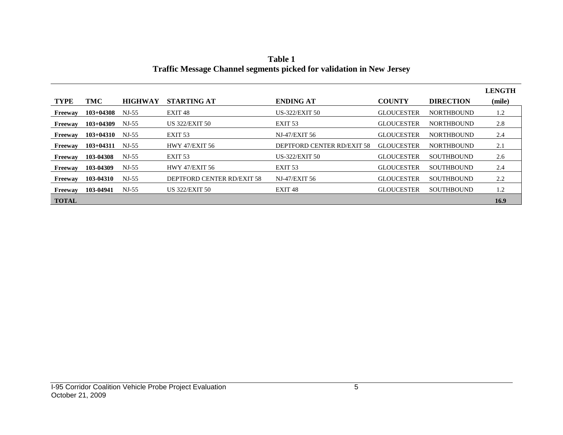|              |             |                |                            |                            |                   |                   | <b>LENGTH</b> |
|--------------|-------------|----------------|----------------------------|----------------------------|-------------------|-------------------|---------------|
| <b>TYPE</b>  | TMC         | <b>HIGHWAY</b> | <b>STARTING AT</b>         | <b>ENDING AT</b>           | <b>COUNTY</b>     | <b>DIRECTION</b>  | (mile)        |
| Freeway      | $103+04308$ | $NJ-55$        | EXIT 48                    | <b>US-322/EXIT 50</b>      | <b>GLOUCESTER</b> | <b>NORTHBOUND</b> | 1.2           |
| Freeway      | $103+04309$ | $NI-55$        | <b>US 322/EXIT 50</b>      | EXIT <sub>53</sub>         | <b>GLOUCESTER</b> | <b>NORTHBOUND</b> | 2.8           |
| Freeway      | $103+04310$ | $NJ-55$        | EXIT <sub>53</sub>         | NJ-47/EXIT 56              | <b>GLOUCESTER</b> | <b>NORTHBOUND</b> | 2.4           |
| Freeway      | $103+04311$ | NJ-55          | <b>HWY 47/EXIT 56</b>      | DEPTFORD CENTER RD/EXIT 58 | <b>GLOUCESTER</b> | <b>NORTHBOUND</b> | 2.1           |
| Freeway      | 103-04308   | $NJ-55$        | EXIT <sub>53</sub>         | <b>US-322/EXIT 50</b>      | <b>GLOUCESTER</b> | <b>SOUTHBOUND</b> | 2.6           |
| Freeway      | 103-04309   | $NI-55$        | <b>HWY 47/EXIT 56</b>      | EXIT <sub>53</sub>         | <b>GLOUCESTER</b> | <b>SOUTHBOUND</b> | 2.4           |
| Freeway      | 103-04310   | $NJ-55$        | DEPTFORD CENTER RD/EXIT 58 | NJ-47/EXIT 56              | <b>GLOUCESTER</b> | <b>SOUTHBOUND</b> | 2.2           |
| Freeway      | 103-04941   | $NJ-55$        | <b>US 322/EXIT 50</b>      | EXIT 48                    | <b>GLOUCESTER</b> | <b>SOUTHBOUND</b> | 1.2           |
| <b>TOTAL</b> |             |                |                            |                            |                   |                   | 16.9          |

**Table 1 Traffic Message Channel segments picked for validation in New Jersey**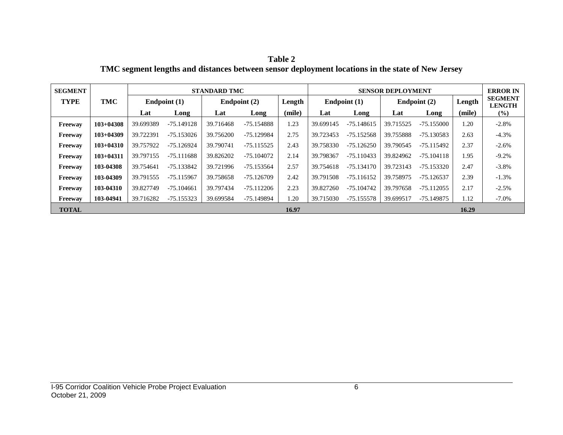**Table 2 TMC segment lengths and distances between sensor deployment locations in the state of New Jersey**

| <b>SEGMENT</b> |               | <b>STANDARD TMC</b> |              |                |              |        | <b>SENSOR DEPLOYMENT</b> |              |                |              |        | <b>ERROR IN</b>                 |
|----------------|---------------|---------------------|--------------|----------------|--------------|--------|--------------------------|--------------|----------------|--------------|--------|---------------------------------|
| <b>TYPE</b>    | TMC           | Endpoint (1)        |              | Endpoint $(2)$ |              | Length | Endpoint $(1)$           |              | Endpoint $(2)$ |              | Length | <b>SEGMENT</b><br><b>LENGTH</b> |
|                |               | Lat                 | Long         | Lat            | Long         | (mile) | Lat                      | Long         | Lat            | Long         | (mile) | $(\%)$                          |
| Freeway        | $103+04308$   | 39.699389           | -75.149128   | 39.716468      | -75.154888   | 1.23   | 39.699145                | $-75.148615$ | 39.715525      | $-75.155000$ | 1.20   | $-2.8%$                         |
| Freeway        | $103+04309$   | 39.722391           | -75.153026   | 39.756200      | -75.129984   | 2.75   | 39.723453                | -75.152568   | 39.755888      | -75.130583   | 2.63   | $-4.3%$                         |
| Freeway        | $103 + 04310$ | 39.757922           | -75.126924   | 39.790741      | $-75.115525$ | 2.43   | 39.758330                | $-75.126250$ | 39.790545      | -75.115492   | 2.37   | $-2.6%$                         |
| Freeway        | $103+04311$   | 39.797155           | $-75.111688$ | 39.826202      | -75.104072   | 2.14   | 39.798367                | $-75.110433$ | 39.824962      | $-75.104118$ | 1.95   | $-9.2%$                         |
| Freeway        | 103-04308     | 39.754641           | $-75.133842$ | 39.721996      | -75.153564   | 2.57   | 39.754618                | $-75.134170$ | 39.723143      | -75.153320   | 2.47   | $-3.8%$                         |
| Freeway        | 103-04309     | 39.791555           | $-75.115967$ | 39.758658      | -75.126709   | 2.42   | 39.791508                | $-75.116152$ | 39.758975      | -75.126537   | 2.39   | $-1.3%$                         |
| Freeway        | 103-04310     | 39.827749           | $-75.104661$ | 39.797434      | -75.112206   | 2.23   | 39.827260                | $-75.104742$ | 39.797658      | $-75.112055$ | 2.17   | $-2.5%$                         |
| Freeway        | 103-04941     | 39.716282           | -75.155323   | 39.699584      | -75.149894   | 1.20   | 39.715030                | -75.155578   | 39.699517      | -75.149875   | 1.12   | $-7.0\%$                        |
| <b>TOTAL</b>   |               |                     |              |                |              | 16.97  |                          |              |                |              | 16.29  |                                 |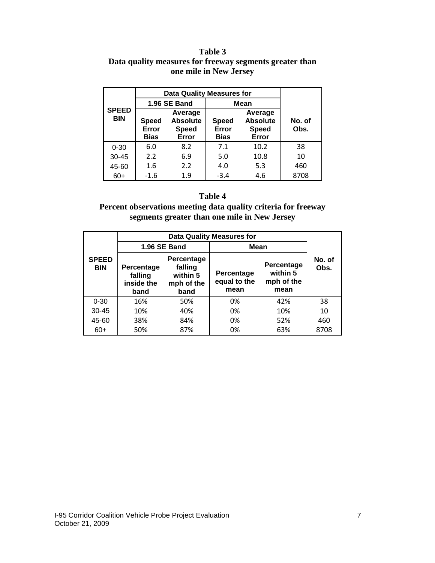#### **Table 3 Data quality measures for freeway segments greater than one mile in New Jersey**

|                            | <b>Data Quality Measures for</b>                                                     |              |                                      |                                                     |                |
|----------------------------|--------------------------------------------------------------------------------------|--------------|--------------------------------------|-----------------------------------------------------|----------------|
|                            |                                                                                      | 1.96 SE Band | <b>Mean</b>                          |                                                     |                |
| <b>SPEED</b><br><b>BIN</b> | Average<br><b>Absolute</b><br><b>Speed</b><br>Error<br><b>Speed</b><br>Bias<br>Error |              | <b>Speed</b><br>Error<br><b>Bias</b> | Average<br><b>Absolute</b><br><b>Speed</b><br>Error | No. of<br>Obs. |
| $0 - 30$                   | 6.0                                                                                  | 8.2          | 7.1                                  | 10.2                                                | 38             |
| $30 - 45$                  | 2.2                                                                                  | 6.9          | 5.0                                  | 10.8                                                | 10             |
| 45-60                      | 1.6                                                                                  | 2.2          | 4.0                                  | 5.3                                                 | 460            |
| $60+$                      | $-1.6$                                                                               | 1.9          | $-3.4$                               | 4.6                                                 | 8708           |

#### **Table 4**

**Percent observations meeting data quality criteria for freeway segments greater than one mile in New Jersey**

|                            |                                             | <b>Data Quality Measures for</b>                        |                                    |                                              |                |  |  |  |  |
|----------------------------|---------------------------------------------|---------------------------------------------------------|------------------------------------|----------------------------------------------|----------------|--|--|--|--|
| <b>SPEED</b><br><b>BIN</b> |                                             | 1.96 SE Band                                            | Mean                               |                                              |                |  |  |  |  |
|                            | Percentage<br>falling<br>inside the<br>band | Percentage<br>falling<br>within 5<br>mph of the<br>band | Percentage<br>equal to the<br>mean | Percentage<br>within 5<br>mph of the<br>mean | No. of<br>Obs. |  |  |  |  |
| $0 - 30$                   | 16%                                         | 50%                                                     | 0%                                 | 42%                                          | 38             |  |  |  |  |
| $30 - 45$                  | 10%                                         | 40%                                                     | 0%                                 | 10%                                          | 10             |  |  |  |  |
| 45-60                      | 38%                                         | 84%                                                     | 0%                                 | 52%                                          | 460            |  |  |  |  |
| $60+$                      | 50%                                         | 87%                                                     | 0%                                 | 63%                                          | 8708           |  |  |  |  |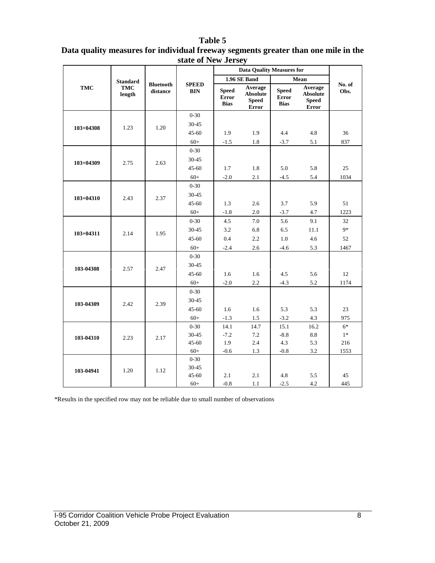#### **Table 5**

| Data quality measures for individual freeway segments greater than one mile in the |  |
|------------------------------------------------------------------------------------|--|
| state of New Jersey                                                                |  |

|               |                 |                              |                            |                                      | <b>Data Quality Measures for</b>                    |                                      |                                                     |                |  |
|---------------|-----------------|------------------------------|----------------------------|--------------------------------------|-----------------------------------------------------|--------------------------------------|-----------------------------------------------------|----------------|--|
|               | <b>Standard</b> |                              |                            |                                      | <b>1.96 SE Band</b>                                 |                                      | Mean                                                |                |  |
| <b>TMC</b>    | TMC<br>length   | <b>Bluetooth</b><br>distance | <b>SPEED</b><br><b>BIN</b> | <b>Speed</b><br>Error<br><b>Bias</b> | Average<br><b>Absolute</b><br><b>Speed</b><br>Error | <b>Speed</b><br>Error<br><b>Bias</b> | Average<br><b>Absolute</b><br><b>Speed</b><br>Error | No. of<br>Obs. |  |
|               |                 |                              | $0 - 30$                   |                                      |                                                     |                                      |                                                     |                |  |
| $103 + 04308$ | 1.23            | 1.20                         | 30-45                      |                                      |                                                     |                                      |                                                     |                |  |
|               |                 |                              | $45 - 60$                  | 1.9                                  | 1.9                                                 | 4.4                                  | 4.8                                                 | 36             |  |
|               |                 |                              | $60+$                      | $-1.5$                               | 1.8                                                 | $-3.7$                               | 5.1                                                 | 837            |  |
|               |                 |                              | $0 - 30$                   |                                      |                                                     |                                      |                                                     |                |  |
| $103 + 04309$ | 2.75            | 2.63                         | 30-45                      |                                      |                                                     |                                      |                                                     |                |  |
|               |                 |                              | $45 - 60$                  | 1.7                                  | 1.8                                                 | 5.0                                  | 5.8                                                 | 25             |  |
|               |                 |                              | $60+$                      | $-2.0$                               | 2.1                                                 | $-4.5$                               | 5.4                                                 | 1034           |  |
|               |                 |                              | $0 - 30$                   |                                      |                                                     |                                      |                                                     |                |  |
| $103 + 04310$ | 2.43            | 2.37                         | $30 - 45$                  |                                      |                                                     |                                      |                                                     |                |  |
|               |                 |                              | $45 - 60$                  | 1.3                                  | 2.6                                                 | 3.7                                  | 5.9                                                 | 51             |  |
|               |                 |                              | $60+$                      | $-1.8$                               | $2.0\,$                                             | $-3.7$                               | 4.7                                                 | 1223           |  |
| $103 + 04311$ |                 | 1.95                         | $0 - 30$                   | 4.5                                  | 7.0                                                 | 5.6                                  | 9.1                                                 | 32             |  |
|               | 2.14            |                              | 30-45                      | 3.2                                  | 6.8                                                 | 6.5                                  | 11.1                                                | $9*$           |  |
|               |                 |                              | 45-60                      | 0.4                                  | 2.2                                                 | 1.0                                  | 4.6                                                 | 52             |  |
|               |                 |                              | $60+$                      | $-2.4$                               | $2.6\,$                                             | $-4.6$                               | 5.3                                                 | 1467           |  |
|               |                 |                              | $0 - 30$                   |                                      |                                                     |                                      |                                                     |                |  |
| 103-04308     | 2.57            | 2.47                         | $30 - 45$                  |                                      |                                                     |                                      |                                                     |                |  |
|               |                 |                              | $45 - 60$                  | 1.6                                  | 1.6                                                 | 4.5                                  | 5.6                                                 | 12             |  |
|               |                 |                              | $60+$                      | $-2.0$                               | 2.2                                                 | $-4.3$                               | 5.2                                                 | 1174           |  |
|               |                 |                              | $0 - 30$                   |                                      |                                                     |                                      |                                                     |                |  |
| 103-04309     | 2.42            | 2.39                         | $30 - 45$                  |                                      |                                                     |                                      |                                                     |                |  |
|               |                 |                              | $45 - 60$                  | 1.6                                  | 1.6                                                 | 5.3                                  | 5.3                                                 | 23             |  |
|               |                 |                              | $60+$                      | $-1.3$                               | 1.5                                                 | $-3.2$                               | 4.3                                                 | 975            |  |
|               |                 |                              | $0 - 30$                   | 14.1                                 | 14.7                                                | 15.1                                 | 16.2                                                | $6*$           |  |
| 103-04310     | 2.23            | 2.17                         | 30-45                      | $-7.2$                               | 7.2                                                 | $-8.8$                               | 8.8                                                 | $1*$           |  |
|               |                 |                              | $45 - 60$                  | 1.9                                  | 2.4                                                 | 4.3                                  | 5.3                                                 | 216            |  |
|               |                 |                              | $60+$                      | $-0.6$                               | 1.3                                                 | $-0.8$                               | $3.2\,$                                             | 1553           |  |
|               |                 |                              | $0 - 30$                   |                                      |                                                     |                                      |                                                     |                |  |
| 103-04941     | 1.20            | 1.12                         | $30 - 45$<br>$45 - 60$     | 2.1                                  | 2.1                                                 | 4.8                                  | 5.5                                                 | 45             |  |
|               |                 |                              | $60+$                      | $-0.8$                               | $1.1\,$                                             | $-2.5$                               | $4.2\,$                                             | 445            |  |
|               |                 |                              |                            |                                      |                                                     |                                      |                                                     |                |  |

\*Results in the specified row may not be reliable due to small number of observations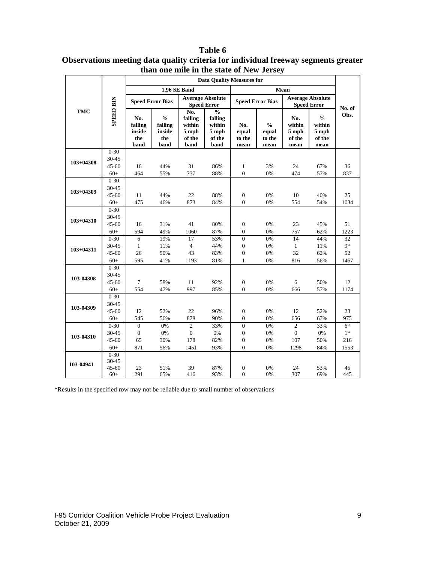|               | the blace of them<br>0.000<br><b>Data Quality Measures for</b> |                                         |                                                   |                                                       |                                                                 |                                    |                                          |                                            |                                                    |                |
|---------------|----------------------------------------------------------------|-----------------------------------------|---------------------------------------------------|-------------------------------------------------------|-----------------------------------------------------------------|------------------------------------|------------------------------------------|--------------------------------------------|----------------------------------------------------|----------------|
|               |                                                                |                                         |                                                   | 1.96 SE Band                                          |                                                                 |                                    |                                          |                                            |                                                    |                |
| <b>TMC</b>    |                                                                |                                         |                                                   |                                                       | <b>Average Absolute</b>                                         |                                    |                                          | Mean                                       | <b>Average Absolute</b>                            |                |
|               |                                                                |                                         | <b>Speed Error Bias</b>                           |                                                       | <b>Speed Error</b>                                              | <b>Speed Error Bias</b>            |                                          | <b>Speed Error</b>                         |                                                    |                |
|               | <b>SPEED BIN</b>                                               | No.<br>falling<br>inside<br>the<br>band | $\frac{0}{0}$<br>falling<br>inside<br>the<br>band | No.<br>falling<br>within<br>$5$ mph<br>of the<br>band | $\frac{0}{0}$<br>falling<br>within<br>$5$ mph<br>of the<br>band | No.<br>equal<br>to the<br>mean     | $\frac{0}{0}$<br>equal<br>to the<br>mean | No.<br>within<br>$5$ mph<br>of the<br>mean | $\frac{0}{0}$<br>within<br>5 mph<br>of the<br>mean | No. of<br>Obs. |
|               | $0 - 30$                                                       |                                         |                                                   |                                                       |                                                                 |                                    |                                          |                                            |                                                    |                |
| $103 + 04308$ | 30-45                                                          |                                         |                                                   |                                                       |                                                                 |                                    |                                          |                                            |                                                    |                |
|               | $45 - 60$                                                      | 16                                      | 44%                                               | 31                                                    | 86%                                                             | $\mathbf{1}$                       | 3%                                       | 24                                         | 67%                                                | 36             |
|               | $60+$                                                          | 464                                     | 55%                                               | 737                                                   | 88%                                                             | $\overline{0}$                     | 0%                                       | 474                                        | 57%                                                | 837            |
|               | $0 - 30$                                                       |                                         |                                                   |                                                       |                                                                 |                                    |                                          |                                            |                                                    |                |
| $103 + 04309$ | 30-45<br>$45 - 60$                                             |                                         |                                                   |                                                       | 88%                                                             |                                    |                                          |                                            |                                                    |                |
|               | $60+$                                                          | 11<br>475                               | 44%<br>46%                                        | 22<br>873                                             | 84%                                                             | $\boldsymbol{0}$<br>$\overline{0}$ | 0%<br>0%                                 | 10<br>554                                  | 40%<br>54%                                         | 25<br>1034     |
|               | $0 - 30$                                                       |                                         |                                                   |                                                       |                                                                 |                                    |                                          |                                            |                                                    |                |
| $103 + 04310$ | 30-45                                                          |                                         |                                                   |                                                       |                                                                 |                                    |                                          |                                            |                                                    |                |
|               | $45 - 60$                                                      | 16                                      | 31%                                               | 41                                                    | 80%                                                             | $\boldsymbol{0}$                   | 0%                                       | 23                                         | 45%                                                | 51             |
|               | $60+$                                                          | 594                                     | 49%                                               | 1060                                                  | 87%                                                             | $\boldsymbol{0}$                   | 0%                                       | 757                                        | 62%                                                | 1223           |
|               | $0 - 30$                                                       | 6                                       | 19%                                               | 17                                                    | 53%                                                             | $\Omega$                           | 0%                                       | 14                                         | 44%                                                | 32             |
|               | 30-45                                                          | $\mathbf{1}$                            | 11%                                               | $\overline{4}$                                        | 44%                                                             | $\boldsymbol{0}$                   | 0%                                       | $\mathbf{1}$                               | 11%                                                | 9*             |
| $103 + 04311$ | $45 - 60$                                                      | 26                                      | 50%                                               | 43                                                    | 83%                                                             | $\boldsymbol{0}$                   | 0%                                       | 32                                         | 62%                                                | 52             |
|               | $60+$                                                          | 595                                     | 41%                                               | 1193                                                  | 81%                                                             | $\mathbf{1}$                       | 0%                                       | 816                                        | 56%                                                | 1467           |
|               | $0 - 30$                                                       |                                         |                                                   |                                                       |                                                                 |                                    |                                          |                                            |                                                    |                |
| 103-04308     | 30-45                                                          |                                         |                                                   |                                                       |                                                                 |                                    |                                          |                                            |                                                    |                |
|               | $45 - 60$                                                      | 7                                       | 58%                                               | 11                                                    | 92%                                                             | $\boldsymbol{0}$                   | 0%                                       | 6                                          | 50%                                                | 12             |
|               | $60+$                                                          | 554                                     | 47%                                               | 997                                                   | 85%                                                             | $\overline{0}$                     | 0%                                       | 666                                        | 57%                                                | 1174           |
|               | $0 - 30$                                                       |                                         |                                                   |                                                       |                                                                 |                                    |                                          |                                            |                                                    |                |
| 103-04309     | 30-45                                                          |                                         |                                                   |                                                       |                                                                 |                                    |                                          |                                            |                                                    |                |
|               | $45 - 60$                                                      | 12                                      | 52%                                               | 22                                                    | 96%                                                             | $\boldsymbol{0}$                   | 0%                                       | 12                                         | 52%                                                | 23             |
|               | $60+$                                                          | 545                                     | 56%                                               | 878                                                   | 90%                                                             | $\boldsymbol{0}$                   | 0%                                       | 656                                        | 67%                                                | 975            |
|               | $0 - 30$                                                       | $\boldsymbol{0}$                        | $0\%$                                             | $\mathfrak{2}$                                        | 33%                                                             | $\boldsymbol{0}$                   | 0%                                       | $\overline{2}$                             | 33%                                                | $6*$           |
| 103-04310     | 30-45                                                          | $\boldsymbol{0}$                        | 0%                                                | $\mathbf{0}$                                          | 0%                                                              | $\overline{0}$                     | 0%                                       | $\overline{0}$                             | 0%                                                 | $1*$           |
|               | $45 - 60$<br>$60+$                                             | 65<br>871                               | 30%                                               | 178                                                   | 82%                                                             | $\overline{0}$<br>$\Omega$         | 0%                                       | 107<br>1298                                | 50%                                                | 216            |
|               | $0 - 30$                                                       |                                         | 56%                                               | 1451                                                  | 93%                                                             |                                    | 0%                                       |                                            | 84%                                                | 1553           |
|               | 30-45                                                          |                                         |                                                   |                                                       |                                                                 |                                    |                                          |                                            |                                                    |                |
| 103-04941     | $45 - 60$                                                      | 23                                      | 51%                                               | 39                                                    | 87%                                                             | $\boldsymbol{0}$                   | 0%                                       | 24                                         | 53%                                                | 45             |
|               | $60+$                                                          | 291                                     | 65%                                               | 416                                                   | 93%                                                             | $\mathbf{0}$                       | 0%                                       | 307                                        | 69%                                                | 445            |

**Table 6 Observations meeting data quality criteria for individual freeway segments greater than one mile in the state of New Jersey**

\*Results in the specified row may not be reliable due to small number of observations